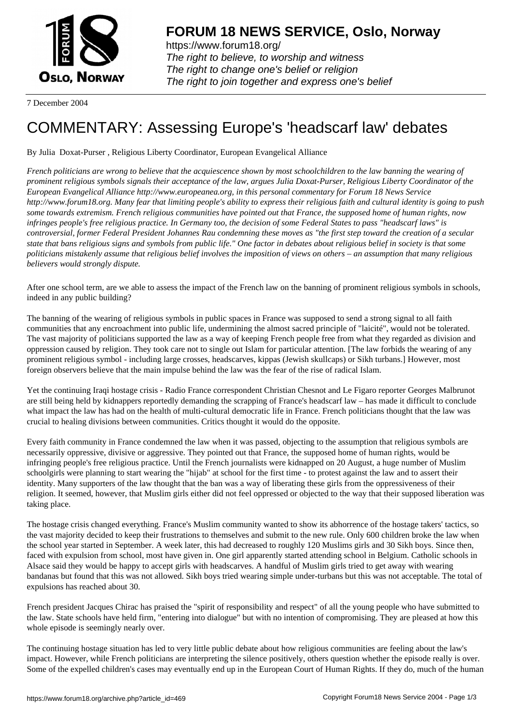

https://www.forum18.org/ The right to believe, to worship and witness The right to change one's belief or religion [The right to join together a](https://www.forum18.org/)nd express one's belief

7 December 2004

## [COMMENTARY](https://www.forum18.org): Assessing Europe's 'headscarf law' debates

By Julia Doxat-Purser , Religious Liberty Coordinator, European Evangelical Alliance

*French politicians are wrong to believe that the acquiescence shown by most schoolchildren to the law banning the wearing of prominent religious symbols signals their acceptance of the law, argues Julia Doxat-Purser, Religious Liberty Coordinator of the European Evangelical Alliance http://www.europeanea.org, in this personal commentary for Forum 18 News Service http://www.forum18.org. Many fear that limiting people's ability to express their religious faith and cultural identity is going to push some towards extremism. French religious communities have pointed out that France, the supposed home of human rights, now infringes people's free religious practice. In Germany too, the decision of some Federal States to pass "headscarf laws" is controversial, former Federal President Johannes Rau condemning these moves as "the first step toward the creation of a secular state that bans religious signs and symbols from public life." One factor in debates about religious belief in society is that some politicians mistakenly assume that religious belief involves the imposition of views on others – an assumption that many religious believers would strongly dispute.*

After one school term, are we able to assess the impact of the French law on the banning of prominent religious symbols in schools, indeed in any public building?

The banning of the wearing of religious symbols in public spaces in France was supposed to send a strong signal to all faith communities that any encroachment into public life, undermining the almost sacred principle of "laicité", would not be tolerated. The vast majority of politicians supported the law as a way of keeping French people free from what they regarded as division and oppression caused by religion. They took care not to single out Islam for particular attention. [The law forbids the wearing of any prominent religious symbol - including large crosses, headscarves, kippas (Jewish skullcaps) or Sikh turbans.] However, most foreign observers believe that the main impulse behind the law was the fear of the rise of radical Islam.

Yet the continuing Iraqi hostage crisis - Radio France correspondent Christian Chesnot and Le Figaro reporter Georges Malbrunot are still being held by kidnappers reportedly demanding the scrapping of France's headscarf law – has made it difficult to conclude what impact the law has had on the health of multi-cultural democratic life in France. French politicians thought that the law was crucial to healing divisions between communities. Critics thought it would do the opposite.

Every faith community in France condemned the law when it was passed, objecting to the assumption that religious symbols are necessarily oppressive, divisive or aggressive. They pointed out that France, the supposed home of human rights, would be infringing people's free religious practice. Until the French journalists were kidnapped on 20 August, a huge number of Muslim schoolgirls were planning to start wearing the "hijab" at school for the first time - to protest against the law and to assert their identity. Many supporters of the law thought that the ban was a way of liberating these girls from the oppressiveness of their religion. It seemed, however, that Muslim girls either did not feel oppressed or objected to the way that their supposed liberation was taking place.

The hostage crisis changed everything. France's Muslim community wanted to show its abhorrence of the hostage takers' tactics, so the vast majority decided to keep their frustrations to themselves and submit to the new rule. Only 600 children broke the law when the school year started in September. A week later, this had decreased to roughly 120 Muslims girls and 30 Sikh boys. Since then, faced with expulsion from school, most have given in. One girl apparently started attending school in Belgium. Catholic schools in Alsace said they would be happy to accept girls with headscarves. A handful of Muslim girls tried to get away with wearing bandanas but found that this was not allowed. Sikh boys tried wearing simple under-turbans but this was not acceptable. The total of expulsions has reached about 30.

French president Jacques Chirac has praised the "spirit of responsibility and respect" of all the young people who have submitted to the law. State schools have held firm, "entering into dialogue" but with no intention of compromising. They are pleased at how this whole episode is seemingly nearly over.

The continuing hostage situation has led to very little public debate about how religious communities are feeling about the law's impact. However, while French politicians are interpreting the silence positively, others question whether the episode really is over. Some of the expelled children's cases may eventually end up in the European Court of Human Rights. If they do, much of the human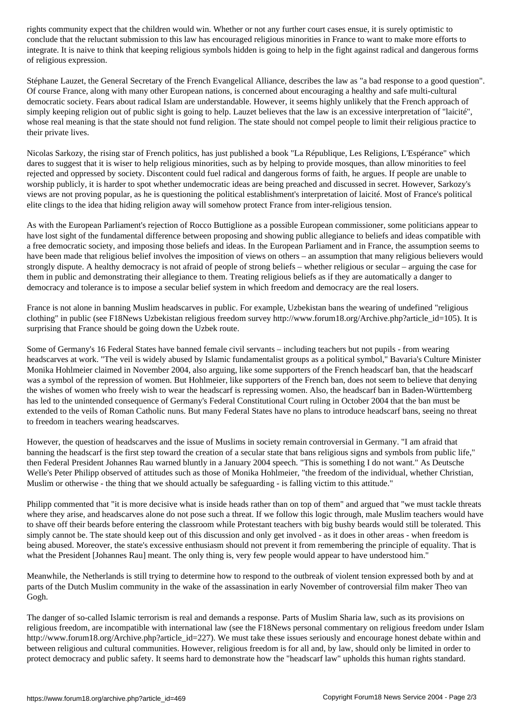conclude that the reluctant submission to this law has encouraged religious minorities in France to want to make more efforts to integrate. It is naive to think that keeping religious symbols hidden is going to help in the fight against radical and dangerous forms of religious expression.

Stéphane Lauzet, the General Secretary of the French Evangelical Alliance, describes the law as "a bad response to a good question". Of course France, along with many other European nations, is concerned about encouraging a healthy and safe multi-cultural democratic society. Fears about radical Islam are understandable. However, it seems highly unlikely that the French approach of simply keeping religion out of public sight is going to help. Lauzet believes that the law is an excessive interpretation of "laicité", whose real meaning is that the state should not fund religion. The state should not compel people to limit their religious practice to their private lives.

Nicolas Sarkozy, the rising star of French politics, has just published a book "La République, Les Religions, L'Espérance" which dares to suggest that it is wiser to help religious minorities, such as by helping to provide mosques, than allow minorities to feel rejected and oppressed by society. Discontent could fuel radical and dangerous forms of faith, he argues. If people are unable to worship publicly, it is harder to spot whether undemocratic ideas are being preached and discussed in secret. However, Sarkozy's views are not proving popular, as he is questioning the political establishment's interpretation of laicité. Most of France's political elite clings to the idea that hiding religion away will somehow protect France from inter-religious tension.

As with the European Parliament's rejection of Rocco Buttiglione as a possible European commissioner, some politicians appear to have lost sight of the fundamental difference between proposing and showing public allegiance to beliefs and ideas compatible with a free democratic society, and imposing those beliefs and ideas. In the European Parliament and in France, the assumption seems to have been made that religious belief involves the imposition of views on others – an assumption that many religious believers would strongly dispute. A healthy democracy is not afraid of people of strong beliefs – whether religious or secular – arguing the case for them in public and demonstrating their allegiance to them. Treating religious beliefs as if they are automatically a danger to democracy and tolerance is to impose a secular belief system in which freedom and democracy are the real losers.

France is not alone in banning Muslim headscarves in public. For example, Uzbekistan bans the wearing of undefined "religious clothing" in public (see F18News Uzbekistan religious freedom survey http://www.forum18.org/Archive.php?article\_id=105). It is surprising that France should be going down the Uzbek route.

Some of Germany's 16 Federal States have banned female civil servants – including teachers but not pupils - from wearing headscarves at work. "The veil is widely abused by Islamic fundamentalist groups as a political symbol," Bavaria's Culture Minister Monika Hohlmeier claimed in November 2004, also arguing, like some supporters of the French headscarf ban, that the headscarf was a symbol of the repression of women. But Hohlmeier, like supporters of the French ban, does not seem to believe that denying the wishes of women who freely wish to wear the headscarf is repressing women. Also, the headscarf ban in Baden-Württemberg has led to the unintended consequence of Germany's Federal Constitutional Court ruling in October 2004 that the ban must be extended to the veils of Roman Catholic nuns. But many Federal States have no plans to introduce headscarf bans, seeing no threat to freedom in teachers wearing headscarves.

However, the question of headscarves and the issue of Muslims in society remain controversial in Germany. "I am afraid that banning the headscarf is the first step toward the creation of a secular state that bans religious signs and symbols from public life," then Federal President Johannes Rau warned bluntly in a January 2004 speech. "This is something I do not want." As Deutsche Welle's Peter Philipp observed of attitudes such as those of Monika Hohlmeier, "the freedom of the individual, whether Christian, Muslim or otherwise - the thing that we should actually be safeguarding - is falling victim to this attitude."

Philipp commented that "it is more decisive what is inside heads rather than on top of them" and argued that "we must tackle threats where they arise, and headscarves alone do not pose such a threat. If we follow this logic through, male Muslim teachers would have to shave off their beards before entering the classroom while Protestant teachers with big bushy beards would still be tolerated. This simply cannot be. The state should keep out of this discussion and only get involved - as it does in other areas - when freedom is being abused. Moreover, the state's excessive enthusiasm should not prevent it from remembering the principle of equality. That is what the President [Johannes Rau] meant. The only thing is, very few people would appear to have understood him."

Meanwhile, the Netherlands is still trying to determine how to respond to the outbreak of violent tension expressed both by and at parts of the Dutch Muslim community in the wake of the assassination in early November of controversial film maker Theo van Gogh.

The danger of so-called Islamic terrorism is real and demands a response. Parts of Muslim Sharia law, such as its provisions on religious freedom, are incompatible with international law (see the F18News personal commentary on religious freedom under Islam http://www.forum18.org/Archive.php?article\_id=227). We must take these issues seriously and encourage honest debate within and between religious and cultural communities. However, religious freedom is for all and, by law, should only be limited in order to protect democracy and public safety. It seems hard to demonstrate how the "headscarf law" upholds this human rights standard.